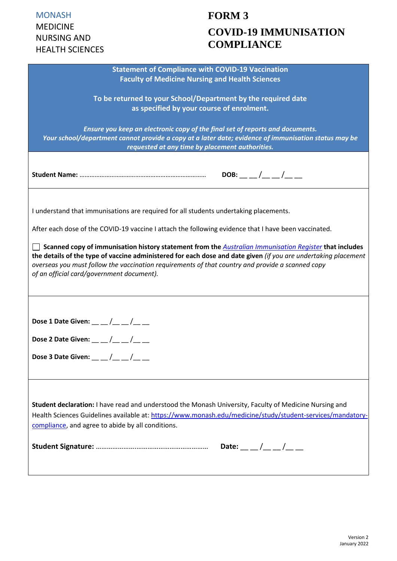# **FORM 3 COVID-19 IMMUNISATION COMPLIANCE**

| <b>Statement of Compliance with COVID-19 Vaccination</b>                                                                                                                                                                        |
|---------------------------------------------------------------------------------------------------------------------------------------------------------------------------------------------------------------------------------|
| <b>Faculty of Medicine Nursing and Health Sciences</b>                                                                                                                                                                          |
| To be returned to your School/Department by the required date                                                                                                                                                                   |
| as specified by your course of enrolment.                                                                                                                                                                                       |
|                                                                                                                                                                                                                                 |
| Ensure you keep an electronic copy of the final set of reports and documents.                                                                                                                                                   |
| Your school/department cannot provide a copy at a later date; evidence of immunisation status may be                                                                                                                            |
| requested at any time by placement authorities.                                                                                                                                                                                 |
|                                                                                                                                                                                                                                 |
|                                                                                                                                                                                                                                 |
| DOB: __ _/__ _/__ _                                                                                                                                                                                                             |
|                                                                                                                                                                                                                                 |
|                                                                                                                                                                                                                                 |
| I understand that immunisations are required for all students undertaking placements.                                                                                                                                           |
|                                                                                                                                                                                                                                 |
| After each dose of the COVID-19 vaccine I attach the following evidence that I have been vaccinated.                                                                                                                            |
|                                                                                                                                                                                                                                 |
| Scanned copy of immunisation history statement from the <b>Australian Immunisation Register</b> that includes<br>the details of the type of vaccine administered for each dose and date given (if you are undertaking placement |
| overseas you must follow the vaccination requirements of that country and provide a scanned copy                                                                                                                                |
| of an official card/government document).                                                                                                                                                                                       |
|                                                                                                                                                                                                                                 |
|                                                                                                                                                                                                                                 |
|                                                                                                                                                                                                                                 |
|                                                                                                                                                                                                                                 |
| Dose 1 Date Given: $\_\_/\_\_$                                                                                                                                                                                                  |
|                                                                                                                                                                                                                                 |
| Dose 2 Date Given: $\_\_\_\_/\_\_$                                                                                                                                                                                              |
| Dose 3 Date Given: $\_\_/\_\_/\_\_$                                                                                                                                                                                             |
|                                                                                                                                                                                                                                 |
|                                                                                                                                                                                                                                 |
|                                                                                                                                                                                                                                 |
|                                                                                                                                                                                                                                 |
| Student declaration: I have read and understood the Monash University, Faculty of Medicine Nursing and                                                                                                                          |
| Health Sciences Guidelines available at: https://www.monash.edu/medicine/study/student-services/mandatory-                                                                                                                      |
| compliance, and agree to abide by all conditions.                                                                                                                                                                               |
|                                                                                                                                                                                                                                 |
|                                                                                                                                                                                                                                 |
|                                                                                                                                                                                                                                 |
|                                                                                                                                                                                                                                 |